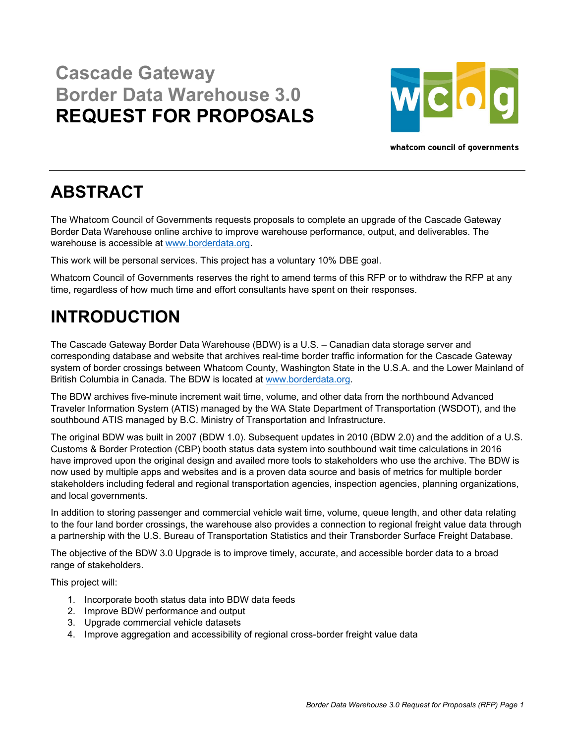## **Cascade Gateway Border Data Warehouse 3.0 REQUEST FOR PROPOSALS**



whatcom council of governments

## **ABSTRACT**

The Whatcom Council of Governments requests proposals to complete an upgrade of the Cascade Gateway Border Data Warehouse online archive to improve warehouse performance, output, and deliverables. The warehouse is accessible at www.borderdata.org.

This work will be personal services. This project has a voluntary 10% DBE goal.

Whatcom Council of Governments reserves the right to amend terms of this RFP or to withdraw the RFP at any time, regardless of how much time and effort consultants have spent on their responses.

## **INTRODUCTION**

The Cascade Gateway Border Data Warehouse (BDW) is a U.S. – Canadian data storage server and corresponding database and website that archives real-time border traffic information for the Cascade Gateway system of border crossings between Whatcom County, Washington State in the U.S.A. and the Lower Mainland of British Columbia in Canada. The BDW is located at www.borderdata.org.

The BDW archives five-minute increment wait time, volume, and other data from the northbound Advanced Traveler Information System (ATIS) managed by the WA State Department of Transportation (WSDOT), and the southbound ATIS managed by B.C. Ministry of Transportation and Infrastructure.

The original BDW was built in 2007 (BDW 1.0). Subsequent updates in 2010 (BDW 2.0) and the addition of a U.S. Customs & Border Protection (CBP) booth status data system into southbound wait time calculations in 2016 have improved upon the original design and availed more tools to stakeholders who use the archive. The BDW is now used by multiple apps and websites and is a proven data source and basis of metrics for multiple border stakeholders including federal and regional transportation agencies, inspection agencies, planning organizations, and local governments.

In addition to storing passenger and commercial vehicle wait time, volume, queue length, and other data relating to the four land border crossings, the warehouse also provides a connection to regional freight value data through a partnership with the U.S. Bureau of Transportation Statistics and their Transborder Surface Freight Database.

The objective of the BDW 3.0 Upgrade is to improve timely, accurate, and accessible border data to a broad range of stakeholders.

This project will:

- 1. Incorporate booth status data into BDW data feeds
- 2. Improve BDW performance and output
- 3. Upgrade commercial vehicle datasets
- 4. Improve aggregation and accessibility of regional cross-border freight value data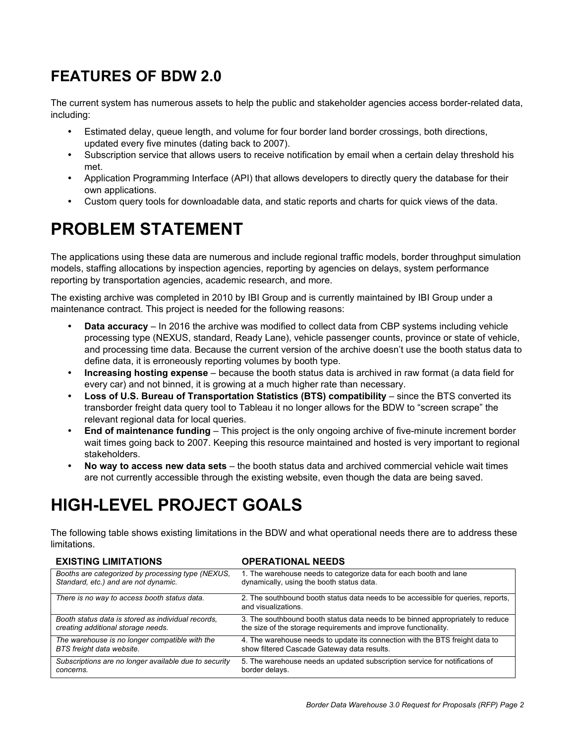### **FEATURES OF BDW 2.0**

The current system has numerous assets to help the public and stakeholder agencies access border-related data, including:

- Estimated delay, queue length, and volume for four border land border crossings, both directions, updated every five minutes (dating back to 2007).
- Subscription service that allows users to receive notification by email when a certain delay threshold his met.
- Application Programming Interface (API) that allows developers to directly query the database for their own applications.
- Custom query tools for downloadable data, and static reports and charts for quick views of the data.

## **PROBLEM STATEMENT**

The applications using these data are numerous and include regional traffic models, border throughput simulation models, staffing allocations by inspection agencies, reporting by agencies on delays, system performance reporting by transportation agencies, academic research, and more.

The existing archive was completed in 2010 by IBI Group and is currently maintained by IBI Group under a maintenance contract. This project is needed for the following reasons:

- **Data accuracy** In 2016 the archive was modified to collect data from CBP systems including vehicle processing type (NEXUS, standard, Ready Lane), vehicle passenger counts, province or state of vehicle, and processing time data. Because the current version of the archive doesn't use the booth status data to define data, it is erroneously reporting volumes by booth type.
- **Increasing hosting expense** because the booth status data is archived in raw format (a data field for every car) and not binned, it is growing at a much higher rate than necessary.
- Loss of U.S. Bureau of Transportation Statistics (BTS) compatibility since the BTS converted its transborder freight data query tool to Tableau it no longer allows for the BDW to "screen scrape" the relevant regional data for local queries.
- **End of maintenance funding** This project is the only ongoing archive of five-minute increment border wait times going back to 2007. Keeping this resource maintained and hosted is very important to regional stakeholders.
- **No way to access new data sets** the booth status data and archived commercial vehicle wait times are not currently accessible through the existing website, even though the data are being saved.

# **HIGH-LEVEL PROJECT GOALS**

The following table shows existing limitations in the BDW and what operational needs there are to address these limitations.

| <b>EXISTING LIMITATIONS</b>                           | <b>OPERATIONAL NEEDS</b>                                                                                |
|-------------------------------------------------------|---------------------------------------------------------------------------------------------------------|
| Booths are categorized by processing type (NEXUS,     | 1. The warehouse needs to categorize data for each booth and lane                                       |
| Standard, etc.) and are not dynamic.                  | dynamically, using the booth status data.                                                               |
| There is no way to access booth status data.          | 2. The southbound booth status data needs to be accessible for queries, reports,<br>and visualizations. |
| Booth status data is stored as individual records.    | 3. The southbound booth status data needs to be binned appropriately to reduce                          |
| creating additional storage needs.                    | the size of the storage requirements and improve functionality.                                         |
| The warehouse is no longer compatible with the        | 4. The warehouse needs to update its connection with the BTS freight data to                            |
| BTS freight data website.                             | show filtered Cascade Gateway data results.                                                             |
| Subscriptions are no longer available due to security | 5. The warehouse needs an updated subscription service for notifications of                             |
| concerns.                                             | border delays.                                                                                          |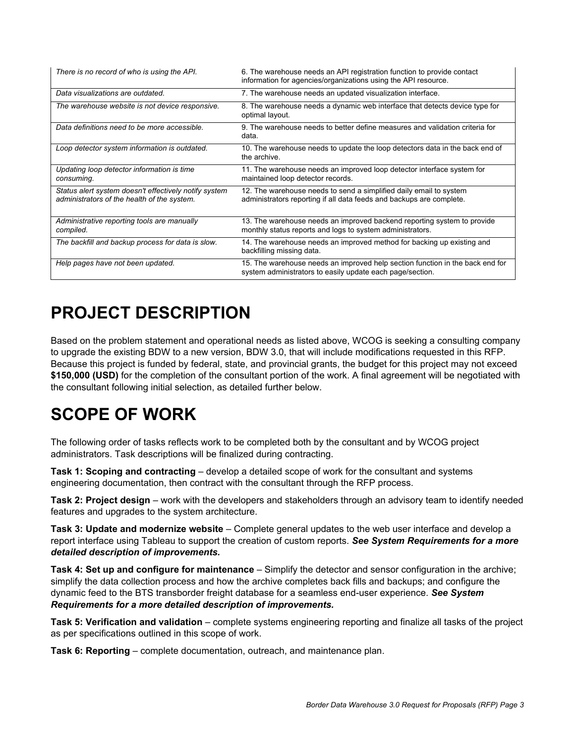| There is no record of who is using the API.                                                          | 6. The warehouse needs an API registration function to provide contact<br>information for agencies/organizations using the API resource.   |
|------------------------------------------------------------------------------------------------------|--------------------------------------------------------------------------------------------------------------------------------------------|
| Data visualizations are outdated.                                                                    | 7. The warehouse needs an updated visualization interface.                                                                                 |
| The warehouse website is not device responsive.                                                      | 8. The warehouse needs a dynamic web interface that detects device type for<br>optimal layout.                                             |
| Data definitions need to be more accessible.                                                         | 9. The warehouse needs to better define measures and validation criteria for<br>data.                                                      |
| Loop detector system information is outdated.                                                        | 10. The warehouse needs to update the loop detectors data in the back end of<br>the archive                                                |
| Updating loop detector information is time<br>consuming.                                             | 11. The warehouse needs an improved loop detector interface system for<br>maintained loop detector records.                                |
| Status alert system doesn't effectively notify system<br>administrators of the health of the system. | 12. The warehouse needs to send a simplified daily email to system<br>administrators reporting if all data feeds and backups are complete. |
| Administrative reporting tools are manually<br>compiled.                                             | 13. The warehouse needs an improved backend reporting system to provide<br>monthly status reports and logs to system administrators.       |
| The backfill and backup process for data is slow.                                                    | 14. The warehouse needs an improved method for backing up existing and<br>backfilling missing data.                                        |
| Help pages have not been updated.                                                                    | 15. The warehouse needs an improved help section function in the back end for<br>system administrators to easily update each page/section. |

# **PROJECT DESCRIPTION**

Based on the problem statement and operational needs as listed above, WCOG is seeking a consulting company to upgrade the existing BDW to a new version, BDW 3.0, that will include modifications requested in this RFP. Because this project is funded by federal, state, and provincial grants, the budget for this project may not exceed **\$150,000 (USD)** for the completion of the consultant portion of the work. A final agreement will be negotiated with the consultant following initial selection, as detailed further below.

# **SCOPE OF WORK**

The following order of tasks reflects work to be completed both by the consultant and by WCOG project administrators. Task descriptions will be finalized during contracting.

**Task 1: Scoping and contracting** – develop a detailed scope of work for the consultant and systems engineering documentation, then contract with the consultant through the RFP process.

**Task 2: Project design** – work with the developers and stakeholders through an advisory team to identify needed features and upgrades to the system architecture.

**Task 3: Update and modernize website** – Complete general updates to the web user interface and develop a report interface using Tableau to support the creation of custom reports. *See System Requirements for a more detailed description of improvements.*

**Task 4: Set up and configure for maintenance** – Simplify the detector and sensor configuration in the archive; simplify the data collection process and how the archive completes back fills and backups; and configure the dynamic feed to the BTS transborder freight database for a seamless end-user experience. *See System Requirements for a more detailed description of improvements.*

**Task 5: Verification and validation** – complete systems engineering reporting and finalize all tasks of the project as per specifications outlined in this scope of work.

**Task 6: Reporting** – complete documentation, outreach, and maintenance plan.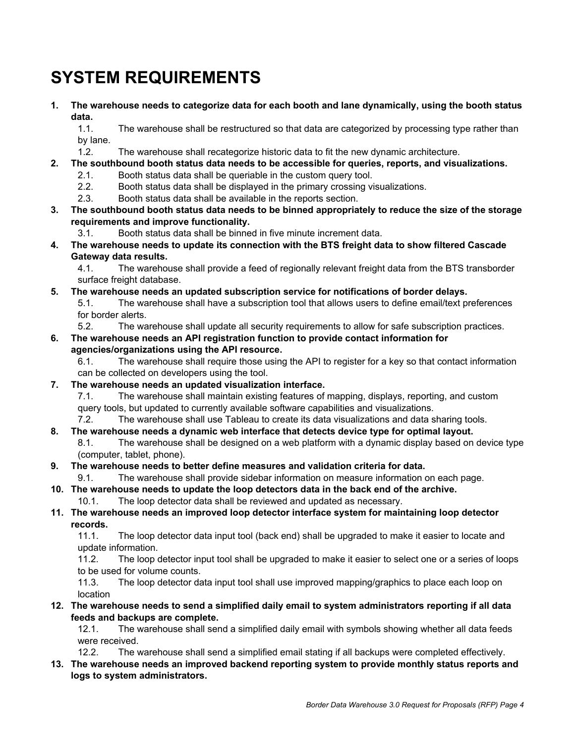# **SYSTEM REQUIREMENTS**

**1. The warehouse needs to categorize data for each booth and lane dynamically, using the booth status data.** 

1.1. The warehouse shall be restructured so that data are categorized by processing type rather than by lane.

- 1.2. The warehouse shall recategorize historic data to fit the new dynamic architecture.
- **2. The southbound booth status data needs to be accessible for queries, reports, and visualizations.** 
	- 2.1. Booth status data shall be queriable in the custom query tool.
	- 2.2. Booth status data shall be displayed in the primary crossing visualizations.
	- 2.3. Booth status data shall be available in the reports section.
- **3. The southbound booth status data needs to be binned appropriately to reduce the size of the storage requirements and improve functionality.** 
	- 3.1. Booth status data shall be binned in five minute increment data.
- **4. The warehouse needs to update its connection with the BTS freight data to show filtered Cascade Gateway data results.**

4.1. The warehouse shall provide a feed of regionally relevant freight data from the BTS transborder surface freight database.

**5. The warehouse needs an updated subscription service for notifications of border delays.** 

5.1. The warehouse shall have a subscription tool that allows users to define email/text preferences for border alerts.

5.2. The warehouse shall update all security requirements to allow for safe subscription practices.

#### **6. The warehouse needs an API registration function to provide contact information for agencies/organizations using the API resource.**

6.1. The warehouse shall require those using the API to register for a key so that contact information can be collected on developers using the tool.

**7. The warehouse needs an updated visualization interface.** 

7.1. The warehouse shall maintain existing features of mapping, displays, reporting, and custom query tools, but updated to currently available software capabilities and visualizations.

7.2. The warehouse shall use Tableau to create its data visualizations and data sharing tools.

#### **8. The warehouse needs a dynamic web interface that detects device type for optimal layout.**

8.1. The warehouse shall be designed on a web platform with a dynamic display based on device type (computer, tablet, phone).

- **9. The warehouse needs to better define measures and validation criteria for data.**
- 9.1. The warehouse shall provide sidebar information on measure information on each page.
- **10. The warehouse needs to update the loop detectors data in the back end of the archive.** 
	- 10.1. The loop detector data shall be reviewed and updated as necessary.
- **11. The warehouse needs an improved loop detector interface system for maintaining loop detector records.**

11.1. The loop detector data input tool (back end) shall be upgraded to make it easier to locate and update information.

11.2. The loop detector input tool shall be upgraded to make it easier to select one or a series of loops to be used for volume counts.

11.3. The loop detector data input tool shall use improved mapping/graphics to place each loop on location

**12. The warehouse needs to send a simplified daily email to system administrators reporting if all data feeds and backups are complete.** 

12.1. The warehouse shall send a simplified daily email with symbols showing whether all data feeds were received.

- 12.2. The warehouse shall send a simplified email stating if all backups were completed effectively.
- **13. The warehouse needs an improved backend reporting system to provide monthly status reports and logs to system administrators.**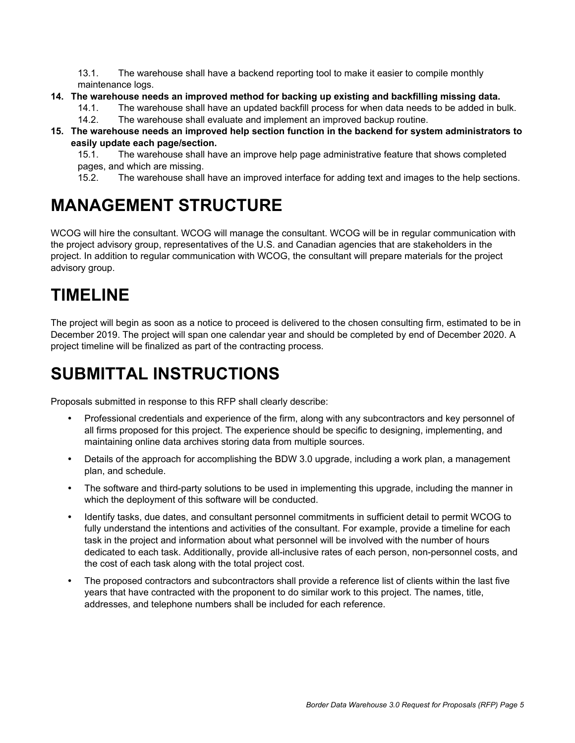13.1. The warehouse shall have a backend reporting tool to make it easier to compile monthly maintenance logs.

#### **14. The warehouse needs an improved method for backing up existing and backfilling missing data.**

- 14.1. The warehouse shall have an updated backfill process for when data needs to be added in bulk.
- 14.2. The warehouse shall evaluate and implement an improved backup routine.

#### **15. The warehouse needs an improved help section function in the backend for system administrators to easily update each page/section.**

15.1. The warehouse shall have an improve help page administrative feature that shows completed pages, and which are missing.

15.2. The warehouse shall have an improved interface for adding text and images to the help sections.

### **MANAGEMENT STRUCTURE**

WCOG will hire the consultant. WCOG will manage the consultant. WCOG will be in regular communication with the project advisory group, representatives of the U.S. and Canadian agencies that are stakeholders in the project. In addition to regular communication with WCOG, the consultant will prepare materials for the project advisory group.

### **TIMELINE**

The project will begin as soon as a notice to proceed is delivered to the chosen consulting firm, estimated to be in December 2019. The project will span one calendar year and should be completed by end of December 2020. A project timeline will be finalized as part of the contracting process.

# **SUBMITTAL INSTRUCTIONS**

Proposals submitted in response to this RFP shall clearly describe:

- Professional credentials and experience of the firm, along with any subcontractors and key personnel of all firms proposed for this project. The experience should be specific to designing, implementing, and maintaining online data archives storing data from multiple sources.
- Details of the approach for accomplishing the BDW 3.0 upgrade, including a work plan, a management plan, and schedule.
- The software and third-party solutions to be used in implementing this upgrade, including the manner in which the deployment of this software will be conducted.
- Identify tasks, due dates, and consultant personnel commitments in sufficient detail to permit WCOG to fully understand the intentions and activities of the consultant. For example, provide a timeline for each task in the project and information about what personnel will be involved with the number of hours dedicated to each task. Additionally, provide all-inclusive rates of each person, non-personnel costs, and the cost of each task along with the total project cost.
- The proposed contractors and subcontractors shall provide a reference list of clients within the last five years that have contracted with the proponent to do similar work to this project. The names, title, addresses, and telephone numbers shall be included for each reference.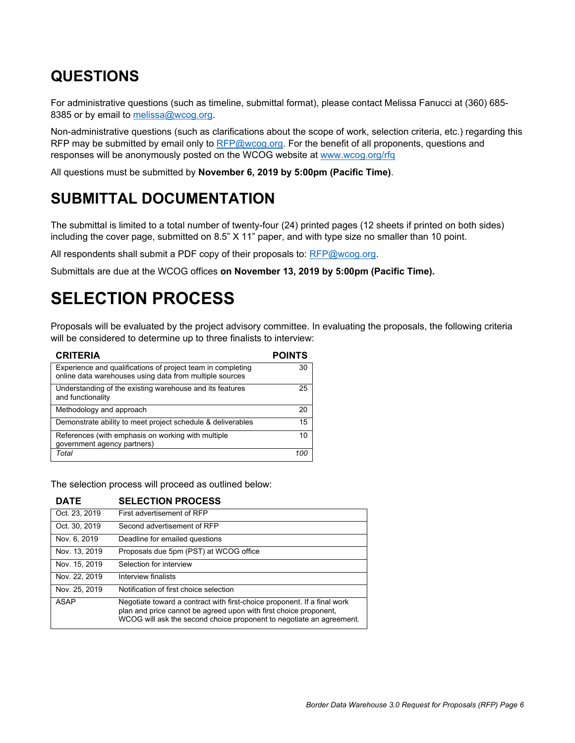### **QUESTIONS**

For administrative questions (such as timeline, submittal format), please contact Melissa Fanucci at (360) 685- 8385 or by email to melissa@wcog.org.

Non-administrative questions (such as clarifications about the scope of work, selection criteria, etc.) regarding this RFP may be submitted by email only to RFP@wcog.org. For the benefit of all proponents, questions and responses will be anonymously posted on the WCOG website at www.wcog.org/rfq

All questions must be submitted by **November 6, 2019 by 5:00pm (Pacific Time)**.

### **SUBMITTAL DOCUMENTATION**

The submittal is limited to a total number of twenty-four (24) printed pages (12 sheets if printed on both sides) including the cover page, submitted on 8.5" X 11" paper, and with type size no smaller than 10 point.

All respondents shall submit a PDF copy of their proposals to:  $RFP@wcoq.org$ .

Submittals are due at the WCOG offices **on November 13, 2019 by 5:00pm (Pacific Time).**

## **SELECTION PROCESS**

Proposals will be evaluated by the project advisory committee. In evaluating the proposals, the following criteria will be considered to determine up to three finalists to interview:

| <b>CRITERIA</b>                                                                                                        | <b>POINTS</b> |
|------------------------------------------------------------------------------------------------------------------------|---------------|
| Experience and qualifications of project team in completing<br>online data warehouses using data from multiple sources | 30            |
| Understanding of the existing warehouse and its features<br>and functionality                                          | 25            |
| Methodology and approach                                                                                               | 20            |
| Demonstrate ability to meet project schedule & deliverables                                                            | 15            |
| References (with emphasis on working with multiple<br>government agency partners)                                      | 10            |
| Total                                                                                                                  |               |

The selection process will proceed as outlined below:

#### **DATE SELECTION PROCESS**

| Oct. 23, 2019 | First advertisement of RFP                                                                                                                                                                                            |
|---------------|-----------------------------------------------------------------------------------------------------------------------------------------------------------------------------------------------------------------------|
| Oct. 30, 2019 | Second advertisement of RFP                                                                                                                                                                                           |
| Nov. 6, 2019  | Deadline for emailed questions                                                                                                                                                                                        |
| Nov. 13, 2019 | Proposals due 5pm (PST) at WCOG office                                                                                                                                                                                |
| Nov. 15, 2019 | Selection for interview                                                                                                                                                                                               |
| Nov. 22, 2019 | Interview finalists                                                                                                                                                                                                   |
| Nov. 25, 2019 | Notification of first choice selection                                                                                                                                                                                |
| ASAP          | Negotiate toward a contract with first-choice proponent. If a final work<br>plan and price cannot be agreed upon with first choice proponent,<br>WCOG will ask the second choice proponent to negotiate an agreement. |